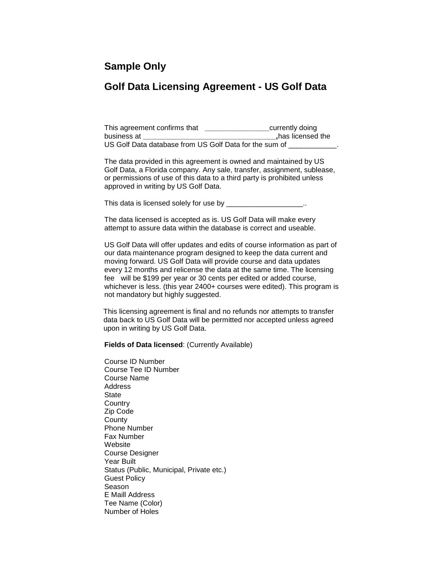## **Sample Only**

## **Golf Data Licensing Agreement - US Golf Data**

This agreement confirms that **\_\_\_\_\_\_\_\_\_\_\_\_\_\_\_\_**currently doing business at **business** at US Golf Data database from US Golf Data for the sum of

The data provided in this agreement is owned and maintained by US Golf Data, a Florida company. Any sale, transfer, assignment, sublease, or permissions of use of this data to a third party is prohibited unless approved in writing by US Golf Data.

This data is licensed solely for use by \_\_\_\_\_\_\_\_\_\_\_\_\_\_\_\_\_\_\_..

The data licensed is accepted as is. US Golf Data will make every attempt to assure data within the database is correct and useable.

US Golf Data will offer updates and edits of course information as part of our data maintenance program designed to keep the data current and moving forward. US Golf Data will provide course and data updates every 12 months and relicense the data at the same time. The licensing fee will be \$199 per year or 30 cents per edited or added course, whichever is less. (this year 2400+ courses were edited). This program is not mandatory but highly suggested.

 This licensing agreement is final and no refunds nor attempts to transfer data back to US Golf Data will be permitted nor accepted unless agreed upon in writing by US Golf Data.

**Fields of Data licensed**: (Currently Available)

Course ID Number Course Tee ID Number Course Name Address **State Country** Zip Code **County** Phone Number Fax Number **Website** Course Designer Year Built Status (Public, Municipal, Private etc.) Guest Policy Season E Maill Address Tee Name (Color) Number of Holes